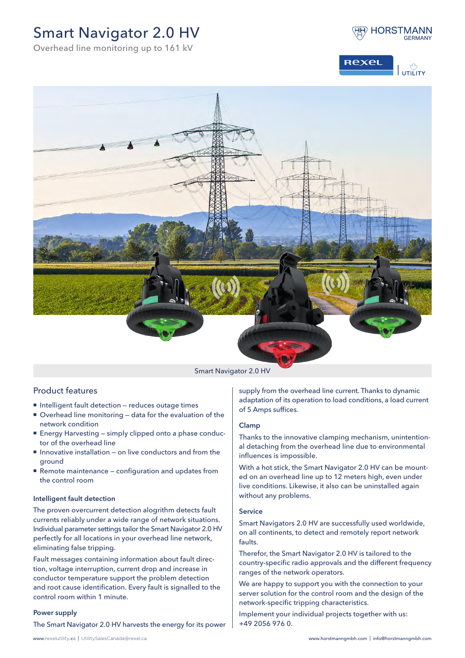# Smart Navigator 2.0 HV









#### Smart Navigator 2.0 HV

## Product features

- **Intelligent fault detection reduces outage times**
- Overhead line monitoring data for the evaluation of the network condition
- Energy Harvesting simply clipped onto a phase conductor of the overhead line
- Innovative installation on live conductors and from the ground
- Remote maintenance configuration and updates from the control room

#### Intelligent fault detection

The proven overcurrent detection alogrithm detects fault currents reliably under a wide range of network situations. Individual parameter settings tailor the Smart Navigator 2.0 HV perfectly for all locations in your overhead line network, eliminating false tripping.

Fault messages containing information about fault direction, voltage interruption, current drop and increase in conductor temperature support the problem detection and root cause identification. Every fault is signalled to the control room within 1 minute.

#### Power supply

The Smart Navigator 2.0 HV harvests the energy for its power

supply from the overhead line current. Thanks to dynamic adaptation of its operation to load conditions, a load current of 5 Amps suffices.

### Clamp

Thanks to the innovative clamping mechanism, unintentional detaching from the overhead line due to environmental influences is impossible.

With a hot stick, the Smart Navigator 2.0 HV can be mounted on an overhead line up to 12 meters high, even under live conditions. Likewise, it also can be uninstalled again without any problems.

#### Service

Smart Navigators 2.0 HV are successfully used worldwide, on all continents, to detect and remotely report network faults.

Therefor, the Smart Navigator 2.0 HV is tailored to the country-specific radio approvals and the different frequency ranges of the network operators.

We are happy to support you with the connection to your server solution for the control room and the design of the network-specific tripping characteristics.

Implement your individual projects together with us: +49 2056 976 0.